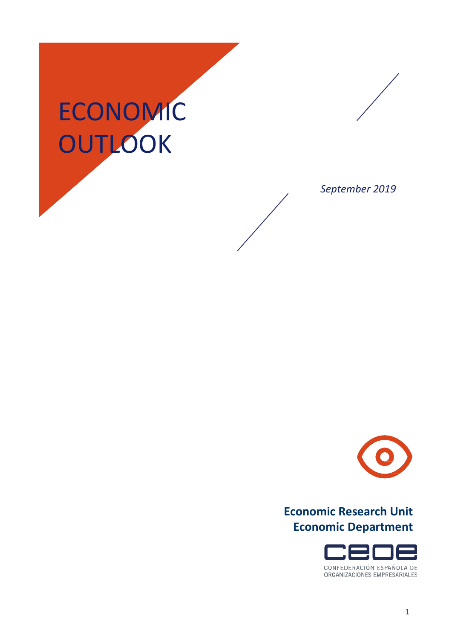## ECONOMIC **OUTLOOK**



*September 2019*



## **Economic Research Unit Economic Department**

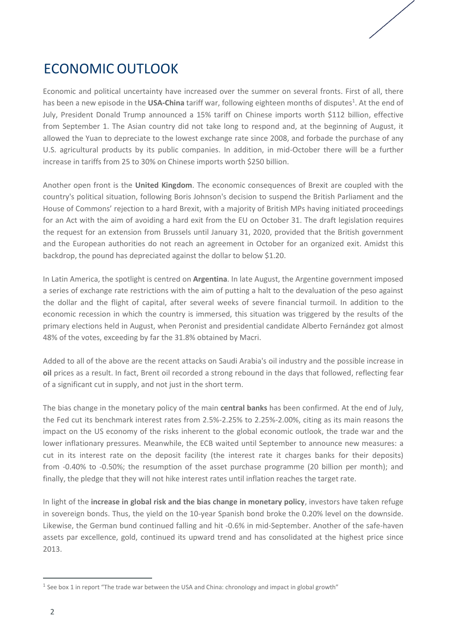## ECONOMIC OUTLOOK

Economic and political uncertainty have increased over the summer on several fronts. First of all, there has been a new episode in the **USA-China** tariff war, following eighteen months of disputes<sup>1</sup>. At the end of July, President Donald Trump announced a 15% tariff on Chinese imports worth \$112 billion, effective from September 1. The Asian country did not take long to respond and, at the beginning of August, it allowed the Yuan to depreciate to the lowest exchange rate since 2008, and forbade the purchase of any U.S. agricultural products by its public companies. In addition, in mid-October there will be a further increase in tariffs from 25 to 30% on Chinese imports worth \$250 billion.

Another open front is the **United Kingdom**. The economic consequences of Brexit are coupled with the country's political situation, following Boris Johnson's decision to suspend the British Parliament and the House of Commons' rejection to a hard Brexit, with a majority of British MPs having initiated proceedings for an Act with the aim of avoiding a hard exit from the EU on October 31. The draft legislation requires the request for an extension from Brussels until January 31, 2020, provided that the British government and the European authorities do not reach an agreement in October for an organized exit. Amidst this backdrop, the pound has depreciated against the dollar to below \$1.20.

In Latin America, the spotlight is centred on **Argentina**. In late August, the Argentine government imposed a series of exchange rate restrictions with the aim of putting a halt to the devaluation of the peso against the dollar and the flight of capital, after several weeks of severe financial turmoil. In addition to the economic recession in which the country is immersed, this situation was triggered by the results of the primary elections held in August, when Peronist and presidential candidate Alberto Fernández got almost 48% of the votes, exceeding by far the 31.8% obtained by Macri.

Added to all of the above are the recent attacks on Saudi Arabia's oil industry and the possible increase in **oil** prices as a result. In fact, Brent oil recorded a strong rebound in the days that followed, reflecting fear of a significant cut in supply, and not just in the short term.

The bias change in the monetary policy of the main **central banks** has been confirmed. At the end of July, the Fed cut its benchmark interest rates from 2.5%-2.25% to 2.25%-2.00%, citing as its main reasons the impact on the US economy of the risks inherent to the global economic outlook, the trade war and the lower inflationary pressures. Meanwhile, the ECB waited until September to announce new measures: a cut in its interest rate on the deposit facility (the interest rate it charges banks for their deposits) from -0.40% to -0.50%; the resumption of the asset purchase programme (20 billion per month); and finally, the pledge that they will not hike interest rates until inflation reaches the target rate.

In light of the **increase in global risk and the bias change in monetary policy**, investors have taken refuge in sovereign bonds. Thus, the yield on the 10-year Spanish bond broke the 0.20% level on the downside. Likewise, the German bund continued falling and hit -0.6% in mid-September. Another of the safe-haven assets par excellence, gold, continued its upward trend and has consolidated at the highest price since 2013.

<sup>&</sup>lt;sup>1</sup> See box 1 in report "The trade war between the USA and China: chronology and impact in global growth"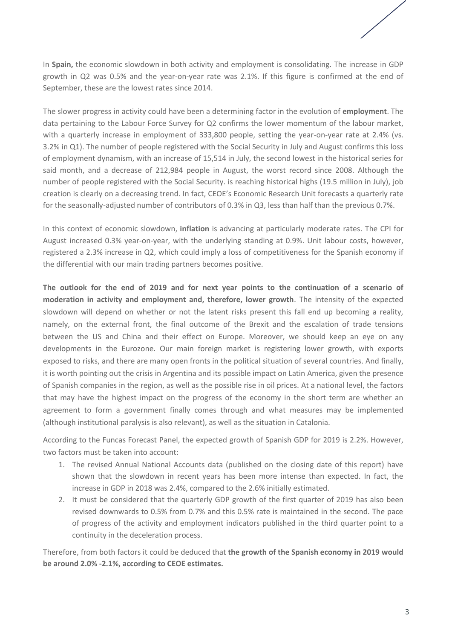In **Spain,** the economic slowdown in both activity and employment is consolidating. The increase in GDP growth in Q2 was 0.5% and the year-on-year rate was 2.1%. If this figure is confirmed at the end of September, these are the lowest rates since 2014.

The slower progress in activity could have been a determining factor in the evolution of **employment**. The data pertaining to the Labour Force Survey for Q2 confirms the lower momentum of the labour market, with a quarterly increase in employment of 333,800 people, setting the year-on-year rate at 2.4% (vs. 3.2% in Q1). The number of people registered with the Social Security in July and August confirms this loss of employment dynamism, with an increase of 15,514 in July, the second lowest in the historical series for said month, and a decrease of 212,984 people in August, the worst record since 2008. Although the number of people registered with the Social Security. is reaching historical highs (19.5 million in July), job creation is clearly on a decreasing trend. In fact, CEOE's Economic Research Unit forecasts a quarterly rate for the seasonally-adjusted number of contributors of 0.3% in Q3, less than half than the previous 0.7%.

In this context of economic slowdown, **inflation** is advancing at particularly moderate rates. The CPI for August increased 0.3% year-on-year, with the underlying standing at 0.9%. Unit labour costs, however, registered a 2.3% increase in Q2, which could imply a loss of competitiveness for the Spanish economy if the differential with our main trading partners becomes positive.

**The outlook for the end of 2019 and for next year points to the continuation of a scenario of moderation in activity and employment and, therefore, lower growth**. The intensity of the expected slowdown will depend on whether or not the latent risks present this fall end up becoming a reality, namely, on the external front, the final outcome of the Brexit and the escalation of trade tensions between the US and China and their effect on Europe. Moreover, we should keep an eye on any developments in the Eurozone. Our main foreign market is registering lower growth, with exports exposed to risks, and there are many open fronts in the political situation of several countries. And finally, it is worth pointing out the crisis in Argentina and its possible impact on Latin America, given the presence of Spanish companies in the region, as well as the possible rise in oil prices. At a national level, the factors that may have the highest impact on the progress of the economy in the short term are whether an agreement to form a government finally comes through and what measures may be implemented (although institutional paralysis is also relevant), as well as the situation in Catalonia.

According to the Funcas Forecast Panel, the expected growth of Spanish GDP for 2019 is 2.2%. However, two factors must be taken into account:

- 1. The revised Annual National Accounts data (published on the closing date of this report) have shown that the slowdown in recent years has been more intense than expected. In fact, the increase in GDP in 2018 was 2.4%, compared to the 2.6% initially estimated.
- 2. It must be considered that the quarterly GDP growth of the first quarter of 2019 has also been revised downwards to 0.5% from 0.7% and this 0.5% rate is maintained in the second. The pace of progress of the activity and employment indicators published in the third quarter point to a continuity in the deceleration process.

Therefore, from both factors it could be deduced that **the growth of the Spanish economy in 2019 would be around 2.0% -2.1%, according to CEOE estimates.**